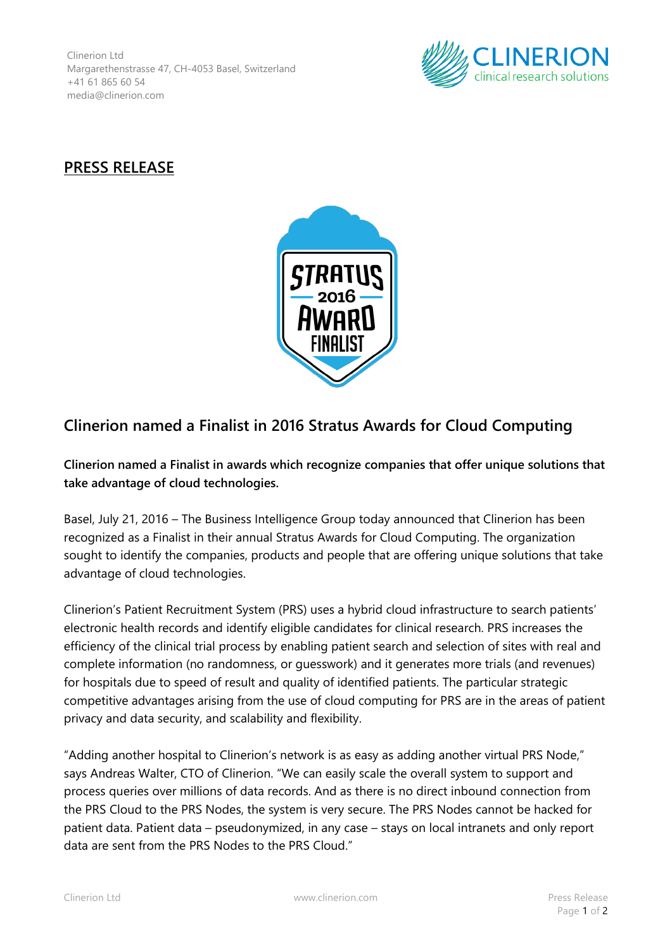Clinerion Ltd Margarethenstrasse 47, CH-4053 Basel, Switzerland +41 61 865 60 54 media@clinerion.com



## **PRESS RELEASE**



## **Clinerion named a Finalist in 2016 Stratus Awards for Cloud Computing**

**Clinerion named a Finalist in awards which recognize companies that offer unique solutions that take advantage of cloud technologies.**

Basel, July 21, 2016 – The Business Intelligence Group today announced that Clinerion has been recognized as a Finalist in their annual Stratus Awards for Cloud Computing. The organization sought to identify the companies, products and people that are offering unique solutions that take advantage of cloud technologies.

Clinerion's Patient Recruitment System (PRS) uses a hybrid cloud infrastructure to search patients' electronic health records and identify eligible candidates for clinical research. PRS increases the efficiency of the clinical trial process by enabling patient search and selection of sites with real and complete information (no randomness, or guesswork) and it generates more trials (and revenues) for hospitals due to speed of result and quality of identified patients. The particular strategic competitive advantages arising from the use of cloud computing for PRS are in the areas of patient privacy and data security, and scalability and flexibility.

"Adding another hospital to Clinerion's network is as easy as adding another virtual PRS Node," says Andreas Walter, CTO of Clinerion. "We can easily scale the overall system to support and process queries over millions of data records. And as there is no direct inbound connection from the PRS Cloud to the PRS Nodes, the system is very secure. The PRS Nodes cannot be hacked for patient data. Patient data – pseudonymized, in any case – stays on local intranets and only report data are sent from the PRS Nodes to the PRS Cloud."